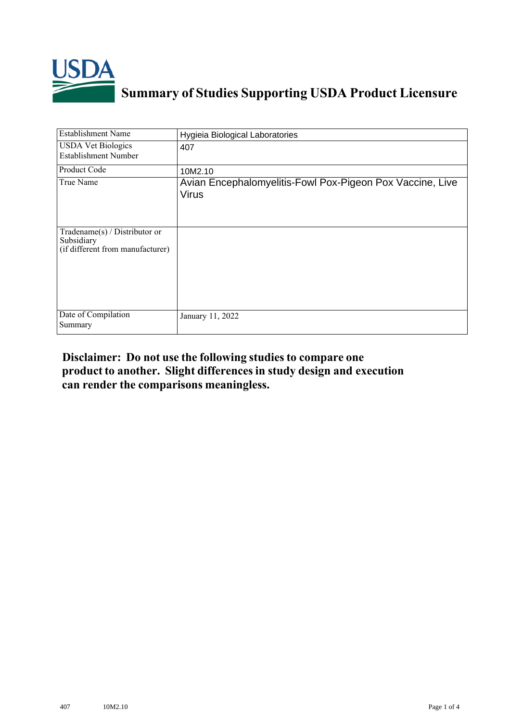

## **Summary of Studies Supporting USDA Product Licensure**

| <b>Establishment Name</b>                                                          | Hygieia Biological Laboratories                                           |
|------------------------------------------------------------------------------------|---------------------------------------------------------------------------|
| <b>USDA Vet Biologics</b><br><b>Establishment Number</b>                           | 407                                                                       |
| Product Code                                                                       | 10M2.10                                                                   |
| True Name                                                                          | Avian Encephalomyelitis-Fowl Pox-Pigeon Pox Vaccine, Live<br><b>Virus</b> |
| Tradename $(s)$ / Distributor or<br>Subsidiary<br>(if different from manufacturer) |                                                                           |
| Date of Compilation<br>Summary                                                     | January 11, 2022                                                          |

## **Disclaimer: Do not use the following studiesto compare one product to another. Slight differencesin study design and execution can render the comparisons meaningless.**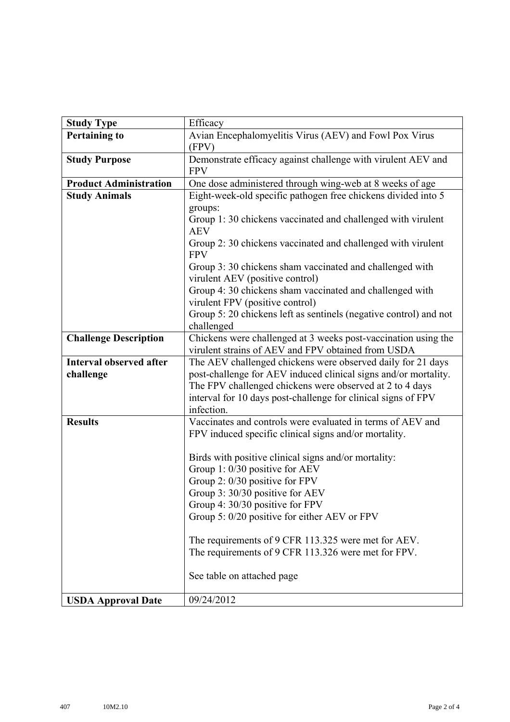| <b>Study Type</b>              | Efficacy                                                                                                                                                                                                                                                                                                                                                                                   |  |  |  |  |
|--------------------------------|--------------------------------------------------------------------------------------------------------------------------------------------------------------------------------------------------------------------------------------------------------------------------------------------------------------------------------------------------------------------------------------------|--|--|--|--|
| <b>Pertaining to</b>           | Avian Encephalomyelitis Virus (AEV) and Fowl Pox Virus<br>(FPV)                                                                                                                                                                                                                                                                                                                            |  |  |  |  |
| <b>Study Purpose</b>           | Demonstrate efficacy against challenge with virulent AEV and<br><b>FPV</b>                                                                                                                                                                                                                                                                                                                 |  |  |  |  |
| <b>Product Administration</b>  | One dose administered through wing-web at 8 weeks of age                                                                                                                                                                                                                                                                                                                                   |  |  |  |  |
| <b>Study Animals</b>           | Eight-week-old specific pathogen free chickens divided into 5<br>groups:<br>Group 1:30 chickens vaccinated and challenged with virulent<br><b>AEV</b>                                                                                                                                                                                                                                      |  |  |  |  |
|                                | Group 2: 30 chickens vaccinated and challenged with virulent<br><b>FPV</b>                                                                                                                                                                                                                                                                                                                 |  |  |  |  |
|                                | Group 3: 30 chickens sham vaccinated and challenged with<br>virulent AEV (positive control)                                                                                                                                                                                                                                                                                                |  |  |  |  |
|                                | Group 4: 30 chickens sham vaccinated and challenged with<br>virulent FPV (positive control)                                                                                                                                                                                                                                                                                                |  |  |  |  |
|                                | Group 5: 20 chickens left as sentinels (negative control) and not<br>challenged                                                                                                                                                                                                                                                                                                            |  |  |  |  |
| <b>Challenge Description</b>   | Chickens were challenged at 3 weeks post-vaccination using the<br>virulent strains of AEV and FPV obtained from USDA                                                                                                                                                                                                                                                                       |  |  |  |  |
| <b>Interval observed after</b> | The AEV challenged chickens were observed daily for 21 days                                                                                                                                                                                                                                                                                                                                |  |  |  |  |
| challenge                      | post-challenge for AEV induced clinical signs and/or mortality.                                                                                                                                                                                                                                                                                                                            |  |  |  |  |
|                                | The FPV challenged chickens were observed at 2 to 4 days<br>interval for 10 days post-challenge for clinical signs of FPV                                                                                                                                                                                                                                                                  |  |  |  |  |
|                                | infection.                                                                                                                                                                                                                                                                                                                                                                                 |  |  |  |  |
| <b>Results</b>                 | Vaccinates and controls were evaluated in terms of AEV and<br>FPV induced specific clinical signs and/or mortality.                                                                                                                                                                                                                                                                        |  |  |  |  |
|                                | Birds with positive clinical signs and/or mortality:<br>Group 1: 0/30 positive for AEV<br>Group 2: 0/30 positive for FPV<br>Group 3: 30/30 positive for AEV<br>Group 4: 30/30 positive for FPV<br>Group 5: 0/20 positive for either AEV or FPV<br>The requirements of 9 CFR 113.325 were met for AEV.<br>The requirements of 9 CFR 113.326 were met for FPV.<br>See table on attached page |  |  |  |  |
| <b>USDA Approval Date</b>      | 09/24/2012                                                                                                                                                                                                                                                                                                                                                                                 |  |  |  |  |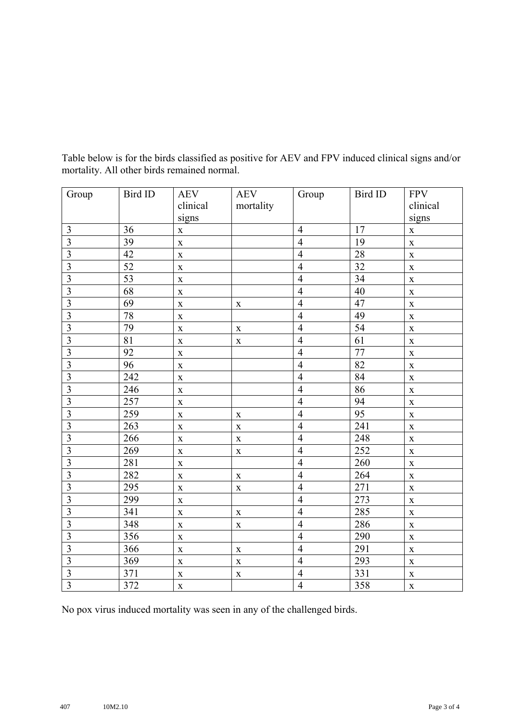| Group                     | Bird ID         | <b>AEV</b>         | <b>AEV</b>  | Group          | Bird ID         | <b>FPV</b>         |
|---------------------------|-----------------|--------------------|-------------|----------------|-----------------|--------------------|
|                           |                 | clinical           | mortality   |                |                 | clinical           |
|                           |                 | signs              |             |                |                 | signs              |
| 3                         | 36              | $\mathbf X$        |             | $\overline{4}$ | 17              | $\mathbf X$        |
| $\overline{\mathbf{3}}$   | 39              | $\mathbf X$        |             | $\overline{4}$ | 19              | $\mathbf X$        |
| $\overline{\mathbf{3}}$   | 42              | $\mathbf X$        |             | $\overline{4}$ | 28              | $\mathbf X$        |
| $\overline{\mathbf{3}}$   | $\overline{52}$ | $\mathbf X$        |             | $\overline{4}$ | $\overline{32}$ | $\mathbf X$        |
| $\overline{3}$            | 53              | $\mathbf X$        |             | $\overline{4}$ | 34              | $\mathbf X$        |
| $\overline{3}$            | 68              | $\mathbf X$        |             | $\overline{4}$ | 40              | $\mathbf X$        |
| $\overline{\mathbf{3}}$   | 69              | $\mathbf X$        | $\mathbf X$ | $\overline{4}$ | 47              | $\mathbf X$        |
| $\overline{\mathbf{3}}$   | $78\,$          | $\mathbf X$        |             | $\overline{4}$ | 49              | $\mathbf X$        |
| $\overline{3}$            | 79              | $\mathbf X$        | $\mathbf X$ | $\overline{4}$ | $\overline{54}$ | $\mathbf X$        |
| $\overline{3}$            | $\overline{81}$ | $\mathbf X$        | $\mathbf X$ | $\overline{4}$ | 61              | $\mathbf X$        |
| $\overline{\overline{3}}$ | 92              | $\mathbf X$        |             | $\overline{4}$ | 77              | $\mathbf X$        |
| $\overline{3}$            | 96              | $\mathbf X$        |             | $\overline{4}$ | 82              | $\mathbf X$        |
| $\overline{3}$            | 242             | $\mathbf X$        |             | $\overline{4}$ | 84              | $\mathbf X$        |
| $\overline{3}$            | 246             | $\mathbf X$        |             | $\overline{4}$ | 86              | $\mathbf X$        |
| $\overline{3}$            | 257             | $\mathbf X$        |             | $\overline{4}$ | 94              | $\mathbf X$        |
| 3                         | 259             | $\mathbf X$        | $\mathbf X$ | $\overline{4}$ | $\overline{95}$ | $\mathbf X$        |
| $\overline{\mathbf{3}}$   | 263             | $\mathbf X$        | $\mathbf X$ | $\overline{4}$ | 241             | $\mathbf X$        |
| $\overline{3}$            | 266             | $\mathbf X$        | $\mathbf X$ | $\overline{4}$ | 248             | $\mathbf X$        |
| $\overline{3}$            | 269             | $\mathbf X$        | $\mathbf X$ | $\overline{4}$ | 252             | $\mathbf X$        |
| $\overline{3}$            | 281             | $\mathbf X$        |             | $\overline{4}$ | 260             | $\mathbf X$        |
| $\overline{\mathbf{3}}$   | 282             | $\mathbf X$        | $\mathbf X$ | $\overline{4}$ | 264             | $\mathbf X$        |
| $\overline{3}$            | 295             | $\mathbf X$        | $\mathbf X$ | $\overline{4}$ | 271             | $\mathbf X$        |
| $\overline{3}$            | 299             | $\mathbf X$        |             | $\overline{4}$ | 273             | $\mathbf X$        |
| $\overline{3}$            | 341             | $\mathbf{\bar{X}}$ | $\mathbf X$ | $\overline{4}$ | 285             | $\mathbf{\bar{X}}$ |
| $\overline{3}$            | 348             | $\mathbf X$        | $\mathbf X$ | $\overline{4}$ | 286             | $\mathbf X$        |
| $\overline{\mathbf{3}}$   | 356             | $\mathbf X$        |             | $\overline{4}$ | 290             | $\mathbf X$        |
| $\overline{3}$            | 366             | $\mathbf X$        | $\mathbf X$ | $\overline{4}$ | 291             | $\mathbf X$        |
| $\overline{3}$            | 369             | $\mathbf{\bar{X}}$ | $\mathbf X$ | $\overline{4}$ | 293             | $\mathbf X$        |
| $\overline{3}$            | 371             | $\mathbf X$        | $\mathbf X$ | $\overline{4}$ | 331             | $\mathbf X$        |
| $\overline{3}$            | 372             | $\mathbf X$        |             | $\overline{4}$ | 358             | $\mathbf X$        |

Table below is for the birds classified as positive for AEV and FPV induced clinical signs and/or mortality. All other birds remained normal.

No pox virus induced mortality was seen in any of the challenged birds.